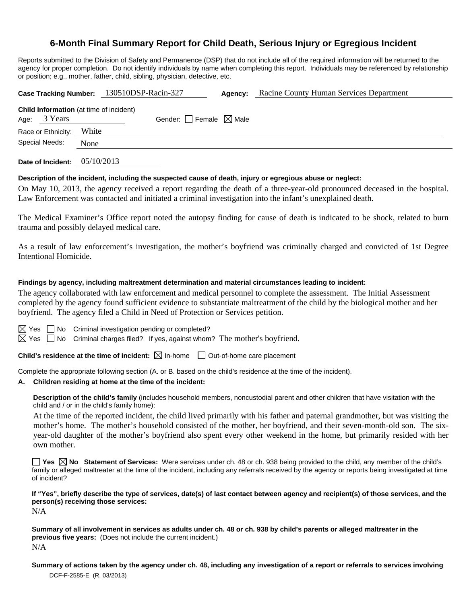# **6-Month Final Summary Report for Child Death, Serious Injury or Egregious Incident**

Reports submitted to the Division of Safety and Permanence (DSP) that do not include all of the required information will be returned to the agency for proper completion. Do not identify individuals by name when completing this report. Individuals may be referenced by relationship or position; e.g., mother, father, child, sibling, physician, detective, etc.

|                |                                                                |                                         | Case Tracking Number: 130510DSP-Racin-327 |                                        | Agency: | Racine County Human Services Department |  |  |
|----------------|----------------------------------------------------------------|-----------------------------------------|-------------------------------------------|----------------------------------------|---------|-----------------------------------------|--|--|
|                | <b>Child Information</b> (at time of incident)<br>Age: 3 Years |                                         |                                           | Gender: $\Box$ Female $\boxtimes$ Male |         |                                         |  |  |
|                | Race or Ethnicity:                                             | White                                   |                                           |                                        |         |                                         |  |  |
| Special Needs: |                                                                | None                                    |                                           |                                        |         |                                         |  |  |
|                |                                                                | $\sim$ $ \sim$ $\sim$ $\sim$ $\sim$ $-$ |                                           |                                        |         |                                         |  |  |

**Date of Incident:** 05/10/2013

### **Description of the incident, including the suspected cause of death, injury or egregious abuse or neglect:**

On May 10, 2013, the agency received a report regarding the death of a three-year-old pronounced deceased in the hospital. Law Enforcement was contacted and initiated a criminal investigation into the infant's unexplained death.

The Medical Examiner's Office report noted the autopsy finding for cause of death is indicated to be shock, related to burn trauma and possibly delayed medical care.

As a result of law enforcement's investigation, the mother's boyfriend was criminally charged and convicted of 1st Degree Intentional Homicide.

### **Findings by agency, including maltreatment determination and material circumstances leading to incident:**

The agency collaborated with law enforcement and medical personnel to complete the assessment. The Initial Assessment completed by the agency found sufficient evidence to substantiate maltreatment of the child by the biological mother and her boyfriend. The agency filed a Child in Need of Protection or Services petition.

 $\Box$  No Criminal investigation pending or completed?

 $\boxtimes$  Yes  $\Box$  No Criminal charges filed? If yes, against whom? The mother's boyfriend.

**Child's residence at the time of incident:**  $\boxtimes$  In-home  $\Box$  Out-of-home care placement

Complete the appropriate following section (A. or B. based on the child's residence at the time of the incident).

### **A. Children residing at home at the time of the incident:**

**Description of the child's family** (includes household members, noncustodial parent and other children that have visitation with the child and / or in the child's family home):

 At the time of the reported incident, the child lived primarily with his father and paternal grandmother, but was visiting the mother's home. The mother's household consisted of the mother, her boyfriend, and their seven-month-old son. The sixyear-old daughter of the mother's boyfriend also spent every other weekend in the home, but primarily resided with her own mother.

■ Yes **No** Statement of Services: Were services under ch. 48 or ch. 938 being provided to the child, any member of the child's family or alleged maltreater at the time of the incident, including any referrals received by the agency or reports being investigated at time of incident?

**If "Yes", briefly describe the type of services, date(s) of last contact between agency and recipient(s) of those services, and the person(s) receiving those services:** 

N/A

**Summary of all involvement in services as adults under ch. 48 or ch. 938 by child's parents or alleged maltreater in the previous five years:** (Does not include the current incident.) N/A

DCF-F-2585-E (R. 03/2013) **Summary of actions taken by the agency under ch. 48, including any investigation of a report or referrals to services involving**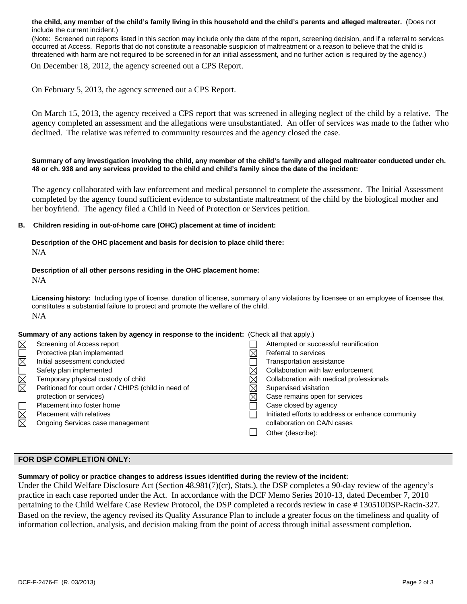**the child, any member of the child's family living in this household and the child's parents and alleged maltreater.** (Does not include the current incident.)

(Note: Screened out reports listed in this section may include only the date of the report, screening decision, and if a referral to services occurred at Access. Reports that do not constitute a reasonable suspicion of maltreatment or a reason to believe that the child is threatened with harm are not required to be screened in for an initial assessment, and no further action is required by the agency.)

On December 18, 2012, the agency screened out a CPS Report.

On February 5, 2013, the agency screened out a CPS Report.

On March 15, 2013, the agency received a CPS report that was screened in alleging neglect of the child by a relative. The agency completed an assessment and the allegations were unsubstantiated. An offer of services was made to the father who declined. The relative was referred to community resources and the agency closed the case.

**Summary of any investigation involving the child, any member of the child's family and alleged maltreater conducted under ch. 48 or ch. 938 and any services provided to the child and child's family since the date of the incident:** 

The agency collaborated with law enforcement and medical personnel to complete the assessment. The Initial Assessment completed by the agency found sufficient evidence to substantiate maltreatment of the child by the biological mother and her boyfriend. The agency filed a Child in Need of Protection or Services petition.

#### **B. Children residing in out-of-home care (OHC) placement at time of incident:**

**Description of the OHC placement and basis for decision to place child there:**  N/A

## **Description of all other persons residing in the OHC placement home:**

N/A

**Licensing history:** Including type of license, duration of license, summary of any violations by licensee or an employee of licensee that constitutes a substantial failure to protect and promote the welfare of the child. N/A

|             | Summary of any actions taken by agency in response to the incident: (Check all that apply.) |  |                                                   |  |
|-------------|---------------------------------------------------------------------------------------------|--|---------------------------------------------------|--|
| $\boxtimes$ | Screening of Access report                                                                  |  | Attempted or successful reunification             |  |
|             | Protective plan implemented                                                                 |  | Referral to services                              |  |
| MANG        | Initial assessment conducted                                                                |  | Transportation assistance                         |  |
|             | Safety plan implemented                                                                     |  | Collaboration with law enforcement                |  |
|             | Temporary physical custody of child                                                         |  | Collaboration with medical professionals          |  |
|             | Petitioned for court order / CHIPS (child in need of                                        |  | Supervised visitation                             |  |
|             | protection or services)                                                                     |  | Case remains open for services                    |  |
|             | Placement into foster home                                                                  |  | Case closed by agency                             |  |
| <b>NN</b>   | <b>Placement with relatives</b>                                                             |  | Initiated efforts to address or enhance community |  |
|             | Ongoing Services case management                                                            |  | collaboration on CA/N cases                       |  |
|             |                                                                                             |  | Other (describe):                                 |  |

### **FOR DSP COMPLETION ONLY:**

**Summary of policy or practice changes to address issues identified during the review of the incident:** 

Under the Child Welfare Disclosure Act (Section 48.981(7)(cr), Stats.), the DSP completes a 90-day review of the agency's practice in each case reported under the Act. In accordance with the DCF Memo Series 2010-13, dated December 7, 2010 pertaining to the Child Welfare Case Review Protocol, the DSP completed a records review in case # 130510DSP-Racin-327. Based on the review, the agency revised its Quality Assurance Plan to include a greater focus on the timeliness and quality of information collection, analysis, and decision making from the point of access through initial assessment completion.